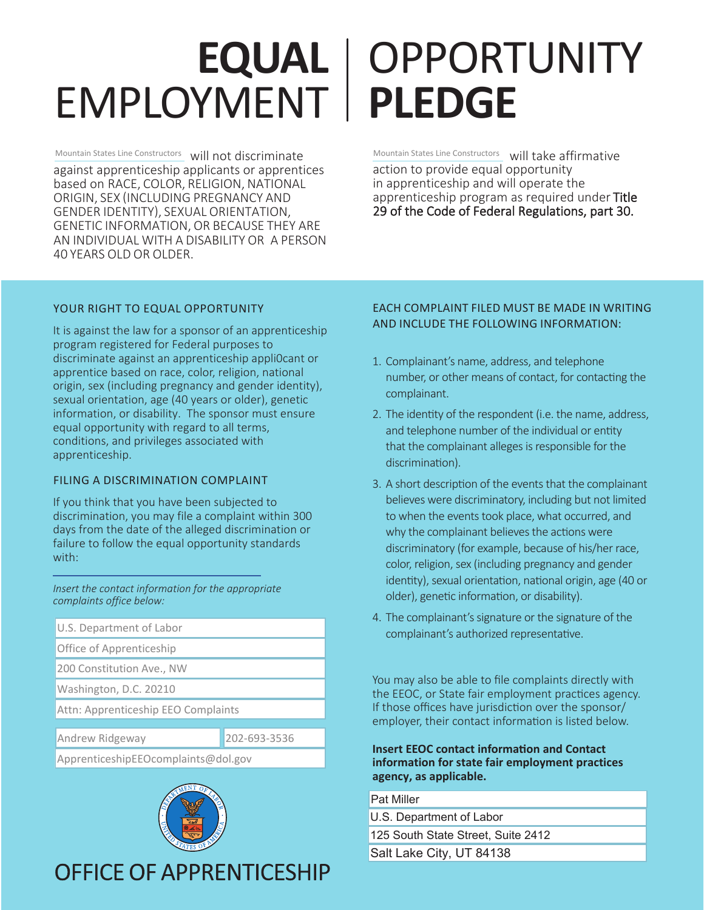## **EQUAL**  $EMPLOYMENT | PLEDGE$

Mountain States Line Constructors **Will not discriminate** Mountain States Line Constructors against apprenticeship applicants or apprentices based on RACE, COLOR, RELIGION, NATIONAL ORIGIN, SEX (INCLUDING PREGNANCY AND GENDER IDENTITY), SEXUAL ORIENTATION, GENETIC INFORMATION, OR BECAUSE THEY ARE AN INDIVIDUAL WITH A DISABILITY OR A PERSON 40 YEARS OLD OR OLDER.

# OPPORTUNITY

Mountain States Line Constructors will take affirmative action to provide equal opportunity in apprenticeship and will operate the apprenticeship program as required under Title<br>29 of the Code of Federal Regulations, part 30.

## YOUR RIGHT TO EQUAL OPPORTUNITY

It is against the law for a sponsor of an apprenticeship program registered for Federal purposes to discriminate against an apprenticeship appli0cant or apprentice based on race, color, religion, national origin, sex (including pregnancy and gender identity), sexual orientation, age (40 years or older), genetic information, or disability. The sponsor must ensure equal opportunity with regard to all terms, conditions, and privileges associated with apprenticeship.

## FILING A DISCRIMINATION COMPLAINT

If you think that you have been subjected to discrimination, you may file a complaint within 300 days from the date of the alleged discrimination or failure to follow the equal opportunity standards with:

*/ Insert the contact information for the appropriate* complaints office below:

U.S. Department of Labor Office of Apprenticeship 200 Constitution Ave., NW Washington, D.C. 20210 Attn: Apprenticeship EEO Complaints Andrew Ridgeway 202-693-3536

ApprenticeshipEEOcomplaints@dol.gov



## **OFFICE OF APPRENTICESHIP**

## EACH COMPLAINT FILED MUST BE MADE IN WRITING AND INCLUDE THE FOLLOWING INFORMATION:

- 1. Complainant's name, address, and telephone humber, or other means of contact, for contacting the complainant.
- 2. The identity of the respondent (i.e. the name, address, and telephone number of the individual or entity that the complainant alleges is responsible for the discrimination).
- 3. A short description of the events that the complainant believes were discriminatory, including but not limited to when the events took place, what occurred, and why the complainant believes the actions were discriminatory (for example, because of his/her race, color, religion, sex (including pregnancy and gender identity), sexual orientation, national origin, age (40 or older), genetic information, or disability).
- 4. The complainant's signature or the signature of the complainant's authorized representative.

You may also be able to file complaints directly with the EEOC, or State fair employment practices agency. If those offices have jurisdiction over the sponsor/ employer, their contact information is listed below.

### **Insert EEOC contact information and Contact** information for state fair employment practices  $\lambda$ agency, as applicable.

Pat Miller

U.S. Department of Labor

125 South State Street, Suite 2412

Salt Lake City, UT 84138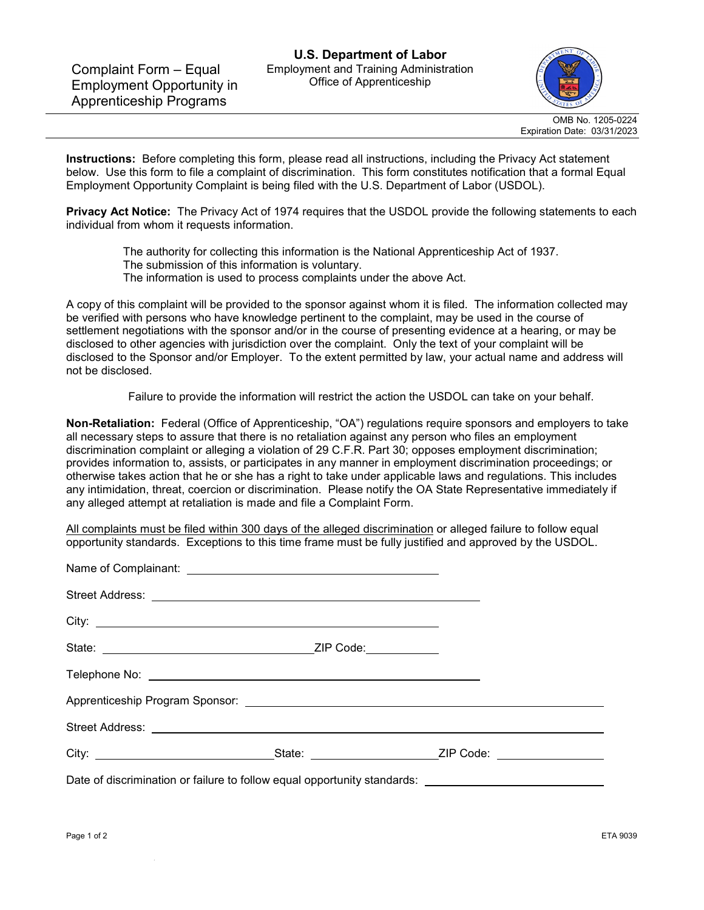

OMB No. 1205-0224 Expiration Date: 03/31/2023

**Instructions:** Before completing this form, please read all instructions, including the Privacy Act statement below. Use this form to file a complaint of discrimination. This form constitutes notification that a formal Equal Employment Opportunity Complaint is being filed with the U.S. Department of Labor (USDOL).

**Privacy Act Notice:** The Privacy Act of 1974 requires that the USDOL provide the following statements to each individual from whom it requests information.

The authority for collecting this information is the National Apprenticeship Act of 1937. The submission of this information is voluntary.

The information is used to process complaints under the above Act.

A copy of this complaint will be provided to the sponsor against whom it is filed. The information collected may be verified with persons who have knowledge pertinent to the complaint, may be used in the course of settlement negotiations with the sponsor and/or in the course of presenting evidence at a hearing, or may be disclosed to other agencies with jurisdiction over the complaint. Only the text of your complaint will be disclosed to the Sponsor and/or Employer. To the extent permitted by law, your actual name and address will not be disclosed.

Failure to provide the information will restrict the action the USDOL can take on your behalf.

**Non-Retaliation:** Federal (Office of Apprenticeship, "OA") regulations require sponsors and employers to take all necessary steps to assure that there is no retaliation against any person who files an employment discrimination complaint or alleging a violation of 29 C.F.R. Part 30; opposes employment discrimination; provides information to, assists, or participates in any manner in employment discrimination proceedings; or otherwise takes action that he or she has a right to take under applicable laws and regulations. This includes any intimidation, threat, coercion or discrimination. Please notify the OA State Representative immediately if any alleged attempt at retaliation is made and file a Complaint Form.

All complaints must be filed within 300 days of the alleged discrimination or alleged failure to follow equal opportunity standards. Exceptions to this time frame must be fully justified and approved by the USDOL.

| Date of discrimination or failure to follow equal opportunity standards: __________________________ |  |
|-----------------------------------------------------------------------------------------------------|--|